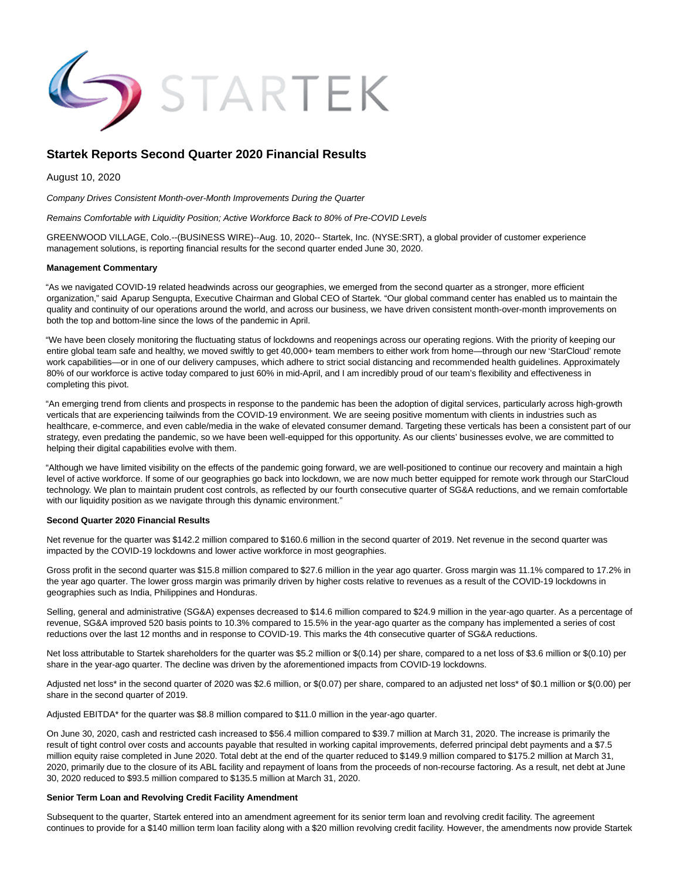

# **Startek Reports Second Quarter 2020 Financial Results**

August 10, 2020

Company Drives Consistent Month-over-Month Improvements During the Quarter

Remains Comfortable with Liquidity Position; Active Workforce Back to 80% of Pre-COVID Levels

GREENWOOD VILLAGE, Colo.--(BUSINESS WIRE)--Aug. 10, 2020-- Startek, Inc. (NYSE:SRT), a global provider of customer experience management solutions, is reporting financial results for the second quarter ended June 30, 2020.

### **Management Commentary**

"As we navigated COVID-19 related headwinds across our geographies, we emerged from the second quarter as a stronger, more efficient organization," said Aparup Sengupta, Executive Chairman and Global CEO of Startek. "Our global command center has enabled us to maintain the quality and continuity of our operations around the world, and across our business, we have driven consistent month-over-month improvements on both the top and bottom-line since the lows of the pandemic in April.

"We have been closely monitoring the fluctuating status of lockdowns and reopenings across our operating regions. With the priority of keeping our entire global team safe and healthy, we moved swiftly to get 40,000+ team members to either work from home—through our new 'StarCloud' remote work capabilities—or in one of our delivery campuses, which adhere to strict social distancing and recommended health guidelines. Approximately 80% of our workforce is active today compared to just 60% in mid-April, and I am incredibly proud of our team's flexibility and effectiveness in completing this pivot.

"An emerging trend from clients and prospects in response to the pandemic has been the adoption of digital services, particularly across high-growth verticals that are experiencing tailwinds from the COVID-19 environment. We are seeing positive momentum with clients in industries such as healthcare, e-commerce, and even cable/media in the wake of elevated consumer demand. Targeting these verticals has been a consistent part of our strategy, even predating the pandemic, so we have been well-equipped for this opportunity. As our clients' businesses evolve, we are committed to helping their digital capabilities evolve with them.

"Although we have limited visibility on the effects of the pandemic going forward, we are well-positioned to continue our recovery and maintain a high level of active workforce. If some of our geographies go back into lockdown, we are now much better equipped for remote work through our StarCloud technology. We plan to maintain prudent cost controls, as reflected by our fourth consecutive quarter of SG&A reductions, and we remain comfortable with our liquidity position as we navigate through this dynamic environment."

### **Second Quarter 2020 Financial Results**

Net revenue for the quarter was \$142.2 million compared to \$160.6 million in the second quarter of 2019. Net revenue in the second quarter was impacted by the COVID-19 lockdowns and lower active workforce in most geographies.

Gross profit in the second quarter was \$15.8 million compared to \$27.6 million in the year ago quarter. Gross margin was 11.1% compared to 17.2% in the year ago quarter. The lower gross margin was primarily driven by higher costs relative to revenues as a result of the COVID-19 lockdowns in geographies such as India, Philippines and Honduras.

Selling, general and administrative (SG&A) expenses decreased to \$14.6 million compared to \$24.9 million in the year-ago quarter. As a percentage of revenue, SG&A improved 520 basis points to 10.3% compared to 15.5% in the year-ago quarter as the company has implemented a series of cost reductions over the last 12 months and in response to COVID-19. This marks the 4th consecutive quarter of SG&A reductions.

Net loss attributable to Startek shareholders for the quarter was \$5.2 million or \$(0.14) per share, compared to a net loss of \$3.6 million or \$(0.10) per share in the year-ago quarter. The decline was driven by the aforementioned impacts from COVID-19 lockdowns.

Adjusted net loss\* in the second quarter of 2020 was \$2.6 million, or \$(0.07) per share, compared to an adjusted net loss\* of \$0.1 million or \$(0.00) per share in the second quarter of 2019.

Adjusted EBITDA\* for the quarter was \$8.8 million compared to \$11.0 million in the year-ago quarter.

On June 30, 2020, cash and restricted cash increased to \$56.4 million compared to \$39.7 million at March 31, 2020. The increase is primarily the result of tight control over costs and accounts payable that resulted in working capital improvements, deferred principal debt payments and a \$7.5 million equity raise completed in June 2020. Total debt at the end of the quarter reduced to \$149.9 million compared to \$175.2 million at March 31, 2020, primarily due to the closure of its ABL facility and repayment of loans from the proceeds of non-recourse factoring. As a result, net debt at June 30, 2020 reduced to \$93.5 million compared to \$135.5 million at March 31, 2020.

### **Senior Term Loan and Revolving Credit Facility Amendment**

Subsequent to the quarter, Startek entered into an amendment agreement for its senior term loan and revolving credit facility. The agreement continues to provide for a \$140 million term loan facility along with a \$20 million revolving credit facility. However, the amendments now provide Startek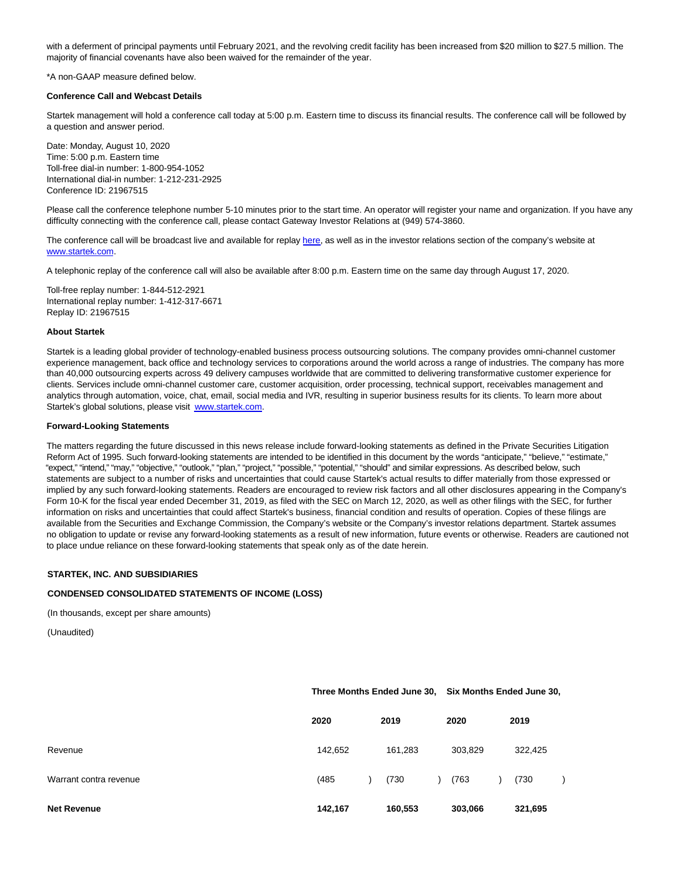with a deferment of principal payments until February 2021, and the revolving credit facility has been increased from \$20 million to \$27.5 million. The majority of financial covenants have also been waived for the remainder of the year.

\*A non-GAAP measure defined below.

### **Conference Call and Webcast Details**

Startek management will hold a conference call today at 5:00 p.m. Eastern time to discuss its financial results. The conference call will be followed by a question and answer period.

Date: Monday, August 10, 2020 Time: 5:00 p.m. Eastern time Toll-free dial-in number: 1-800-954-1052 International dial-in number: 1-212-231-2925 Conference ID: 21967515

Please call the conference telephone number 5-10 minutes prior to the start time. An operator will register your name and organization. If you have any difficulty connecting with the conference call, please contact Gateway Investor Relations at (949) 574-3860.

The conference call will be broadcast live and available for replay [here,](https://cts.businesswire.com/ct/CT?id=smartlink&url=http%3A%2F%2Fpublic.viavid.com%2Fplayer%2Findex.php%3Fid%3D141168&esheet=52264327&newsitemid=20200810005733&lan=en-US&anchor=here&index=1&md5=2c64d6573ff666d536d69ac08093fcda) as well as in the investor relations section of the company's website at [www.startek.com.](https://cts.businesswire.com/ct/CT?id=smartlink&url=https%3A%2F%2Fwww.startek.com%2F&esheet=52264327&newsitemid=20200810005733&lan=en-US&anchor=www.startek.com&index=2&md5=82e683296b4bb27251037db74661d793)

A telephonic replay of the conference call will also be available after 8:00 p.m. Eastern time on the same day through August 17, 2020.

Toll-free replay number: 1-844-512-2921 International replay number: 1-412-317-6671 Replay ID: 21967515

#### **About Startek**

Startek is a leading global provider of technology-enabled business process outsourcing solutions. The company provides omni-channel customer experience management, back office and technology services to corporations around the world across a range of industries. The company has more than 40,000 outsourcing experts across 49 delivery campuses worldwide that are committed to delivering transformative customer experience for clients. Services include omni-channel customer care, customer acquisition, order processing, technical support, receivables management and analytics through automation, voice, chat, email, social media and IVR, resulting in superior business results for its clients. To learn more about Startek's global solutions, please visit [www.startek.com.](https://cts.businesswire.com/ct/CT?id=smartlink&url=https%3A%2F%2Fwww.startek.com%2F&esheet=52264327&newsitemid=20200810005733&lan=en-US&anchor=www.startek.com&index=3&md5=e29879248bde881c35ce0c18cd1b880d)

#### **Forward-Looking Statements**

The matters regarding the future discussed in this news release include forward-looking statements as defined in the Private Securities Litigation Reform Act of 1995. Such forward-looking statements are intended to be identified in this document by the words "anticipate," "believe," "estimate," "expect," "intend," "may," "objective," "outlook," "plan," "project," "possible," "potential," "should" and similar expressions. As described below, such statements are subject to a number of risks and uncertainties that could cause Startek's actual results to differ materially from those expressed or implied by any such forward-looking statements. Readers are encouraged to review risk factors and all other disclosures appearing in the Company's Form 10-K for the fiscal year ended December 31, 2019, as filed with the SEC on March 12, 2020, as well as other filings with the SEC, for further information on risks and uncertainties that could affect Startek's business, financial condition and results of operation. Copies of these filings are available from the Securities and Exchange Commission, the Company's website or the Company's investor relations department. Startek assumes no obligation to update or revise any forward-looking statements as a result of new information, future events or otherwise. Readers are cautioned not to place undue reliance on these forward-looking statements that speak only as of the date herein.

**Three Months Ended June 30, Six Months Ended June 30,**

### **STARTEK, INC. AND SUBSIDIARIES**

#### **CONDENSED CONSOLIDATED STATEMENTS OF INCOME (LOSS)**

(In thousands, except per share amounts)

(Unaudited)

|                        | THE MURIUS ENGED JUNE 30, 31X MUNIUS ENGED JUNE 30, |         |  |         |  |         |  |
|------------------------|-----------------------------------------------------|---------|--|---------|--|---------|--|
|                        | 2020                                                | 2019    |  | 2020    |  | 2019    |  |
| Revenue                | 142,652                                             | 161,283 |  | 303,829 |  | 322,425 |  |
| Warrant contra revenue | (485)                                               | (730)   |  | (763)   |  | (730)   |  |
| Net Revenue            | 142,167                                             | 160,553 |  | 303,066 |  | 321,695 |  |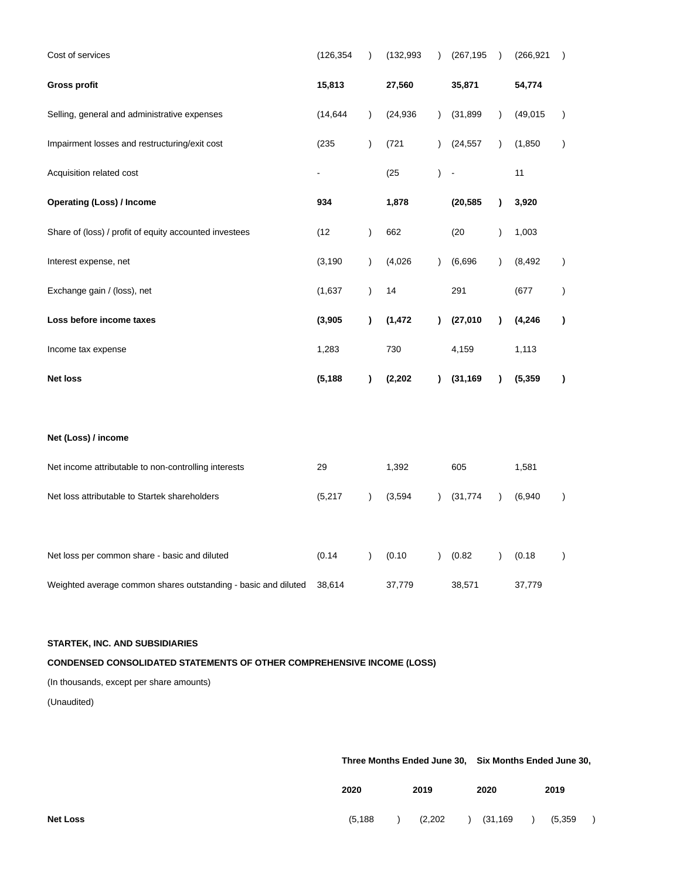| Cost of services                                       | (126, 354) | )             | (132, 993) | $\lambda$ | (267, 195)               | $\lambda$ | (266, 921) | $\rightarrow$ |
|--------------------------------------------------------|------------|---------------|------------|-----------|--------------------------|-----------|------------|---------------|
| <b>Gross profit</b>                                    | 15,813     |               | 27,560     |           | 35,871                   |           | 54,774     |               |
| Selling, general and administrative expenses           | (14, 644)  | $\lambda$     | (24, 936)  | $\lambda$ | (31, 899)                | $\lambda$ | (49, 015)  | $\lambda$     |
| Impairment losses and restructuring/exit cost          | (235)      | $\mathcal{E}$ | (721)      | $\lambda$ | (24, 557)                | $\lambda$ | (1,850)    | $\mathcal{E}$ |
| Acquisition related cost                               |            |               | (25)       | $\lambda$ | $\overline{\phantom{a}}$ |           | 11         |               |
| <b>Operating (Loss) / Income</b>                       | 934        |               | 1,878      |           | (20, 585)                |           | 3,920      |               |
| Share of (loss) / profit of equity accounted investees | (12)       | $\mathcal{E}$ | 662        |           | (20)                     | $\lambda$ | 1,003      |               |
| Interest expense, net                                  | (3, 190)   | $\lambda$     | (4,026)    |           | (6,696)                  | $\lambda$ | (8, 492)   | $\mathcal{E}$ |
| Exchange gain / (loss), net                            | (1,637)    | $\lambda$     | 14         |           | 291                      |           | (677)      | $\mathcal{C}$ |
| Loss before income taxes                               | (3,905)    | )             | (1, 472)   |           | (27,010)                 | 1         | (4, 246)   | )             |
| Income tax expense                                     | 1,283      |               | 730        |           | 4,159                    |           | 1,113      |               |
| <b>Net loss</b>                                        | (5, 188)   | )             | (2, 202)   | 1         | (31, 169)                | 1         | (5, 359)   | $\lambda$     |
|                                                        |            |               |            |           |                          |           |            |               |
| Net (Loss) / income                                    |            |               |            |           |                          |           |            |               |

| Net income attributable to non-controlling interests           | 29      | 1,392   | 605     | 1,581   |  |
|----------------------------------------------------------------|---------|---------|---------|---------|--|
| Net loss attributable to Startek shareholders                  | (5,217) | (3,594) | (31,774 | (6,940) |  |
| Net loss per common share - basic and diluted                  | (0.14)  | (0.10)  | (0.82)  | (0.18)  |  |
| Weighted average common shares outstanding - basic and diluted | 38.614  | 37,779  | 38,571  | 37.779  |  |

**STARTEK, INC. AND SUBSIDIARIES**

# **CONDENSED CONSOLIDATED STATEMENTS OF OTHER COMPREHENSIVE INCOME (LOSS)**

(In thousands, except per share amounts)

(Unaudited)

|                 |         |         | Three Months Ended June 30, Six Months Ended June 30, |           |  |          |  |
|-----------------|---------|---------|-------------------------------------------------------|-----------|--|----------|--|
|                 | 2020    | 2019    | 2020                                                  |           |  | 2019     |  |
| <b>Net Loss</b> | (5.188) | (2,202) |                                                       | (31, 169) |  | (5, 359) |  |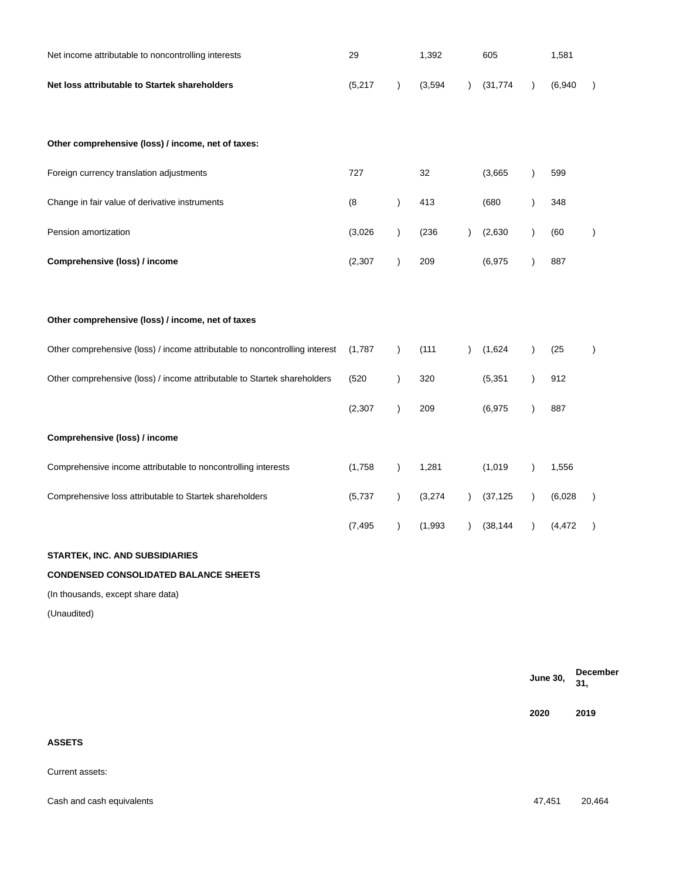| Net income attributable to noncontrolling interests                         | 29       |               | 1,392   |           | 605       |           | 1,581    |           |
|-----------------------------------------------------------------------------|----------|---------------|---------|-----------|-----------|-----------|----------|-----------|
| Net loss attributable to Startek shareholders                               | (5,217)  | $\lambda$     | (3,594) | $\lambda$ | (31, 774) | $\lambda$ | (6,940)  | $\lambda$ |
|                                                                             |          |               |         |           |           |           |          |           |
| Other comprehensive (loss) / income, net of taxes:                          |          |               |         |           |           |           |          |           |
| Foreign currency translation adjustments                                    | 727      |               | 32      |           | (3,665)   | $\lambda$ | 599      |           |
| Change in fair value of derivative instruments                              | (8)      | $\mathcal{E}$ | 413     |           | (680)     | $\lambda$ | 348      |           |
| Pension amortization                                                        | (3,026)  | $\lambda$     | (236)   | $\lambda$ | (2,630)   | $\lambda$ | (60)     | $\lambda$ |
| Comprehensive (loss) / income                                               | (2, 307) | $\mathcal{E}$ | 209     |           | (6,975)   | $\lambda$ | 887      |           |
|                                                                             |          |               |         |           |           |           |          |           |
| Other comprehensive (loss) / income, net of taxes                           |          |               |         |           |           |           |          |           |
| Other comprehensive (loss) / income attributable to noncontrolling interest | (1,787)  | $\lambda$     | (111)   | $\lambda$ | (1,624)   | $\lambda$ | (25)     | $\lambda$ |
| Other comprehensive (loss) / income attributable to Startek shareholders    | (520)    | $\lambda$     | 320     |           | (5, 351)  | $\lambda$ | 912      |           |
|                                                                             | (2, 307) | $\mathcal{E}$ | 209     |           | (6, 975)  | $\lambda$ | 887      |           |
| Comprehensive (loss) / income                                               |          |               |         |           |           |           |          |           |
| Comprehensive income attributable to noncontrolling interests               | (1,758)  | $\mathcal{E}$ | 1,281   |           | (1,019)   | $\lambda$ | 1,556    |           |
| Comprehensive loss attributable to Startek shareholders                     | (5,737)  | $\lambda$     | (3,274) | $\lambda$ | (37, 125) | $\lambda$ | (6,028)  | $\lambda$ |
|                                                                             | (7, 495) | $\mathcal{E}$ | (1,993) | $\lambda$ | (38, 144) | $\lambda$ | (4, 472) | $\lambda$ |
| STARTEK, INC. AND SUBSIDIARIES                                              |          |               |         |           |           |           |          |           |
| <b>CONDENSED CONSOLIDATED BALANCE SHEETS</b>                                |          |               |         |           |           |           |          |           |
| (In thousands, oveent share data)                                           |          |               |         |           |           |           |          |           |

(In thousands, except share data)

(Unaudited)

|      | June 30, December<br>$31,$ |
|------|----------------------------|
| 2020 | 2019                       |

# **ASSETS**

Current assets:

Cash and cash equivalents **47,451** 20,464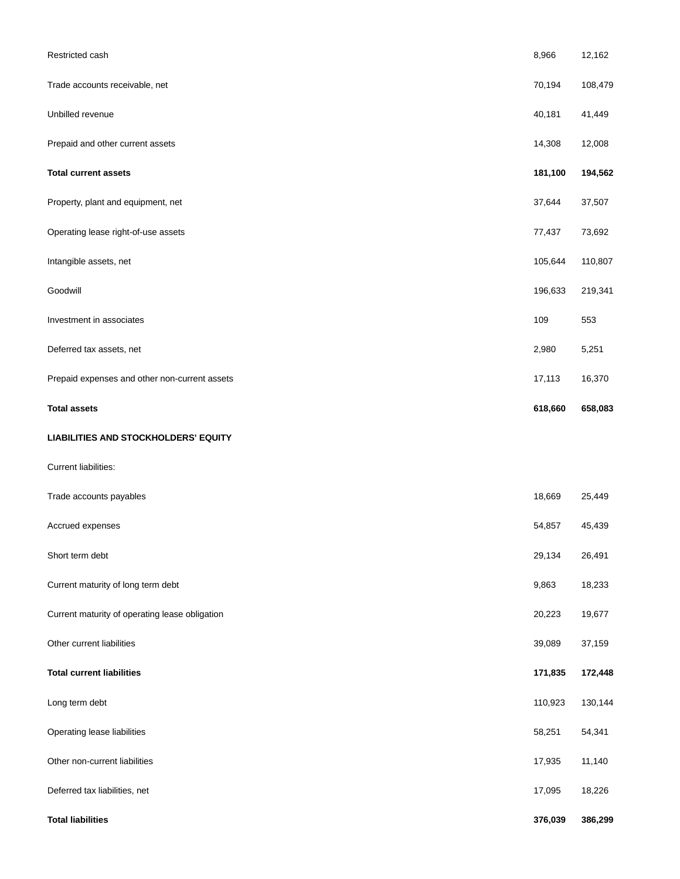| Restricted cash                                | 8,966   | 12,162  |
|------------------------------------------------|---------|---------|
| Trade accounts receivable, net                 | 70,194  | 108,479 |
| Unbilled revenue                               | 40,181  | 41,449  |
| Prepaid and other current assets               | 14,308  | 12,008  |
| <b>Total current assets</b>                    | 181,100 | 194,562 |
| Property, plant and equipment, net             | 37,644  | 37,507  |
| Operating lease right-of-use assets            | 77,437  | 73,692  |
| Intangible assets, net                         | 105,644 | 110,807 |
| Goodwill                                       | 196,633 | 219,341 |
| Investment in associates                       | 109     | 553     |
| Deferred tax assets, net                       | 2,980   | 5,251   |
| Prepaid expenses and other non-current assets  | 17,113  | 16,370  |
| <b>Total assets</b>                            | 618,660 | 658,083 |
| LIABILITIES AND STOCKHOLDERS' EQUITY           |         |         |
| Current liabilities:                           |         |         |
| Trade accounts payables                        | 18,669  | 25,449  |
| Accrued expenses                               | 54,857  | 45,439  |
| Short term debt                                |         |         |
|                                                | 29,134  | 26,491  |
| Current maturity of long term debt             | 9,863   | 18,233  |
| Current maturity of operating lease obligation | 20,223  | 19,677  |
| Other current liabilities                      | 39,089  | 37,159  |
| <b>Total current liabilities</b>               | 171,835 | 172,448 |
| Long term debt                                 | 110,923 | 130,144 |
| Operating lease liabilities                    | 58,251  | 54,341  |
| Other non-current liabilities                  | 17,935  | 11,140  |
| Deferred tax liabilities, net                  | 17,095  | 18,226  |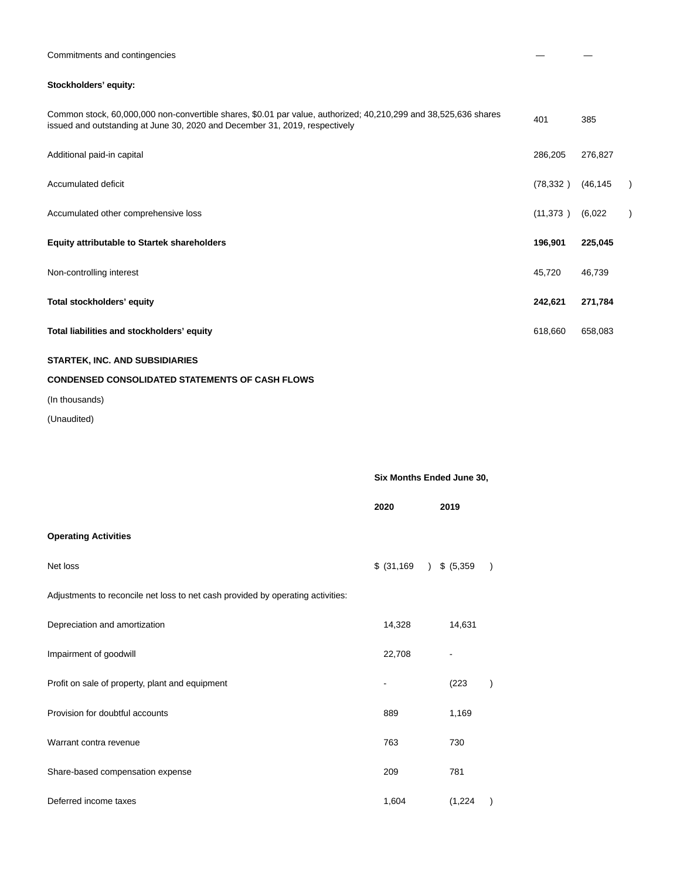## Commitments and contingencies extending the continuous continuous continuous continuous continuous continuous continuous continuous continuous continuous continuous continuous continuous continuous continuous continuous co

# **Stockholders' equity:**

| Common stock, 60,000,000 non-convertible shares, \$0.01 par value, authorized; 40,210,299 and 38,525,636 shares<br>issued and outstanding at June 30, 2020 and December 31, 2019, respectively | 401       | 385       |  |
|------------------------------------------------------------------------------------------------------------------------------------------------------------------------------------------------|-----------|-----------|--|
| Additional paid-in capital                                                                                                                                                                     | 286,205   | 276,827   |  |
| Accumulated deficit                                                                                                                                                                            | (78, 332) | (46, 145) |  |
| Accumulated other comprehensive loss                                                                                                                                                           | (11, 373) | (6,022)   |  |
|                                                                                                                                                                                                |           |           |  |
| <b>Equity attributable to Startek shareholders</b>                                                                                                                                             | 196,901   | 225,045   |  |
| Non-controlling interest                                                                                                                                                                       | 45,720    | 46,739    |  |
| Total stockholders' equity                                                                                                                                                                     | 242,621   | 271,784   |  |

# **STARTEK, INC. AND SUBSIDIARIES**

## **CONDENSED CONSOLIDATED STATEMENTS OF CASH FLOWS**

(In thousands)

(Unaudited)

|                                                                                 |              | Six Months Ended June 30, |  |
|---------------------------------------------------------------------------------|--------------|---------------------------|--|
|                                                                                 | 2020         | 2019                      |  |
| <b>Operating Activities</b>                                                     |              |                           |  |
| Net loss                                                                        | \$ (31, 169) | $\frac{1}{2}$ \$ (5,359)  |  |
| Adjustments to reconcile net loss to net cash provided by operating activities: |              |                           |  |
| Depreciation and amortization                                                   | 14,328       | 14,631                    |  |
| Impairment of goodwill                                                          | 22,708       |                           |  |
| Profit on sale of property, plant and equipment                                 |              | (223)                     |  |
| Provision for doubtful accounts                                                 | 889          | 1,169                     |  |
| Warrant contra revenue                                                          | 763          | 730                       |  |
| Share-based compensation expense                                                | 209          | 781                       |  |
| Deferred income taxes                                                           | 1,604        | (1,224)                   |  |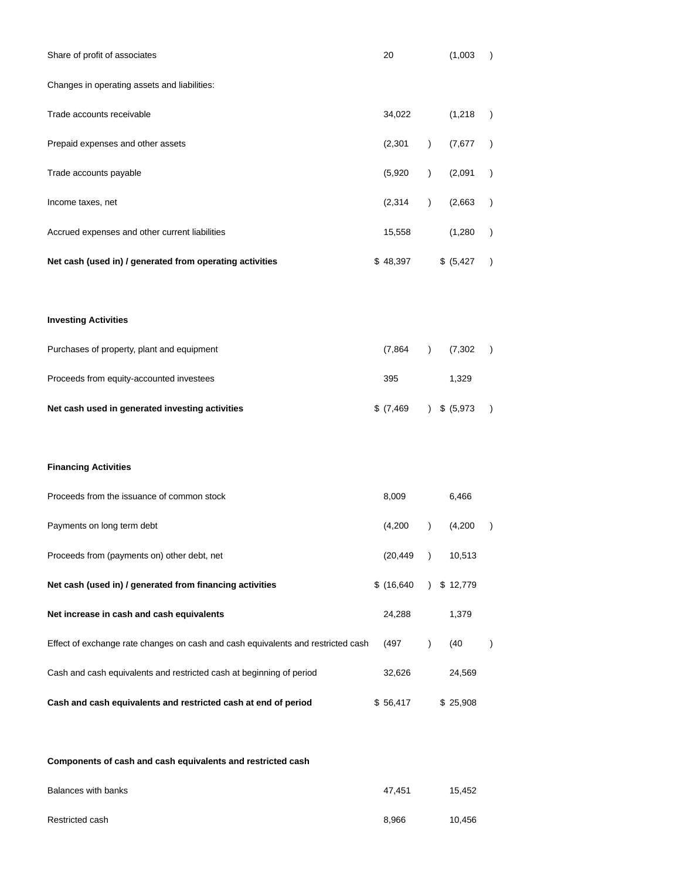| Share of profit of associates                                                    | 20          |                  | (1,003)    | $\mathcal{L}$ |
|----------------------------------------------------------------------------------|-------------|------------------|------------|---------------|
| Changes in operating assets and liabilities:                                     |             |                  |            |               |
| Trade accounts receivable                                                        | 34,022      |                  | (1,218)    | $\mathcal{L}$ |
| Prepaid expenses and other assets                                                | (2, 301)    | $\lambda$        | (7,677)    | $\lambda$     |
| Trade accounts payable                                                           | (5,920)     | $\lambda$        | (2,091)    | $\lambda$     |
| Income taxes, net                                                                | (2,314)     | $\lambda$        | (2,663)    | $\mathcal{L}$ |
| Accrued expenses and other current liabilities                                   | 15,558      |                  | (1,280)    | $\mathcal{C}$ |
| Net cash (used in) / generated from operating activities                         | \$48,397    |                  | \$ (5,427) | $\lambda$     |
|                                                                                  |             |                  |            |               |
| <b>Investing Activities</b>                                                      |             |                  |            |               |
| Purchases of property, plant and equipment                                       | (7, 864)    | $\lambda$        | (7, 302)   | $\lambda$     |
| Proceeds from equity-accounted investees                                         | 395         |                  | 1,329      |               |
| Net cash used in generated investing activities                                  | \$ (7,469)  | $\lambda$        | \$ (5,973) | $\lambda$     |
|                                                                                  |             |                  |            |               |
| <b>Financing Activities</b>                                                      |             |                  |            |               |
| Proceeds from the issuance of common stock                                       | 8,009       |                  | 6,466      |               |
| Payments on long term debt                                                       | (4,200)     | $\left( \right)$ | (4,200)    | $\lambda$     |
| Proceeds from (payments on) other debt, net                                      | (20, 449)   | $\lambda$        | 10,513     |               |
| Net cash (used in) / generated from financing activities                         | \$(16, 640) | $\lambda$        | \$12,779   |               |
| Net increase in cash and cash equivalents                                        | 24,288      |                  | 1,379      |               |
| Effect of exchange rate changes on cash and cash equivalents and restricted cash | (497)       | $\mathcal{L}$    | (40)       | $\mathcal{E}$ |
| Cash and cash equivalents and restricted cash at beginning of period             | 32,626      |                  | 24,569     |               |
| Cash and cash equivalents and restricted cash at end of period                   | \$56,417    |                  | \$25,908   |               |
|                                                                                  |             |                  |            |               |
| Components of cash and cash equivalents and restricted cash                      |             |                  |            |               |
| Balances with banks                                                              | 47,451      |                  | 15,452     |               |
| Restricted cash                                                                  | 8,966       |                  | 10,456     |               |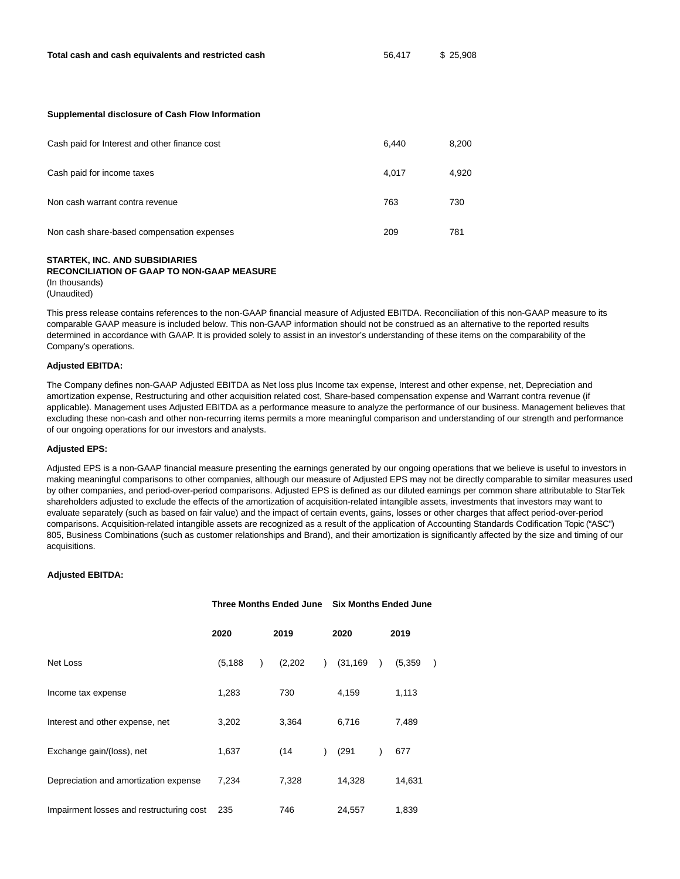#### **Supplemental disclosure of Cash Flow Information**

| Cash paid for Interest and other finance cost | 6.440 | 8,200 |
|-----------------------------------------------|-------|-------|
| Cash paid for income taxes                    | 4,017 | 4,920 |
| Non cash warrant contra revenue               | 763   | 730   |
| Non cash share-based compensation expenses    | 209   | 781   |

# **STARTEK, INC. AND SUBSIDIARIES RECONCILIATION OF GAAP TO NON-GAAP MEASURE**

(In thousands)

(Unaudited)

This press release contains references to the non-GAAP financial measure of Adjusted EBITDA. Reconciliation of this non-GAAP measure to its comparable GAAP measure is included below. This non-GAAP information should not be construed as an alternative to the reported results determined in accordance with GAAP. It is provided solely to assist in an investor's understanding of these items on the comparability of the Company's operations.

### **Adjusted EBITDA:**

The Company defines non-GAAP Adjusted EBITDA as Net loss plus Income tax expense, Interest and other expense, net, Depreciation and amortization expense, Restructuring and other acquisition related cost, Share-based compensation expense and Warrant contra revenue (if applicable). Management uses Adjusted EBITDA as a performance measure to analyze the performance of our business. Management believes that excluding these non-cash and other non-recurring items permits a more meaningful comparison and understanding of our strength and performance of our ongoing operations for our investors and analysts.

#### **Adjusted EPS:**

Adjusted EPS is a non-GAAP financial measure presenting the earnings generated by our ongoing operations that we believe is useful to investors in making meaningful comparisons to other companies, although our measure of Adjusted EPS may not be directly comparable to similar measures used by other companies, and period-over-period comparisons. Adjusted EPS is defined as our diluted earnings per common share attributable to StarTek shareholders adjusted to exclude the effects of the amortization of acquisition-related intangible assets, investments that investors may want to evaluate separately (such as based on fair value) and the impact of certain events, gains, losses or other charges that affect period-over-period comparisons. Acquisition-related intangible assets are recognized as a result of the application of Accounting Standards Codification Topic ("ASC") 805, Business Combinations (such as customer relationships and Brand), and their amortization is significantly affected by the size and timing of our acquisitions.

## **Adjusted EBITDA:**

|                                          |          | Three Months Ended June Six Months Ended June |         |  |           |  |          |  |      |  |
|------------------------------------------|----------|-----------------------------------------------|---------|--|-----------|--|----------|--|------|--|
|                                          | 2020     |                                               | 2019    |  |           |  | 2020     |  | 2019 |  |
| Net Loss                                 | (5, 188) |                                               | (2,202) |  | (31, 169) |  | (5, 359) |  |      |  |
| Income tax expense                       | 1,283    |                                               | 730     |  | 4,159     |  | 1,113    |  |      |  |
| Interest and other expense, net          | 3,202    |                                               | 3,364   |  | 6,716     |  | 7,489    |  |      |  |
| Exchange gain/(loss), net                | 1,637    |                                               | (14)    |  | (291)     |  | 677      |  |      |  |
| Depreciation and amortization expense    | 7,234    |                                               | 7,328   |  | 14,328    |  | 14,631   |  |      |  |
| Impairment losses and restructuring cost | 235      |                                               | 746     |  | 24,557    |  | 1,839    |  |      |  |